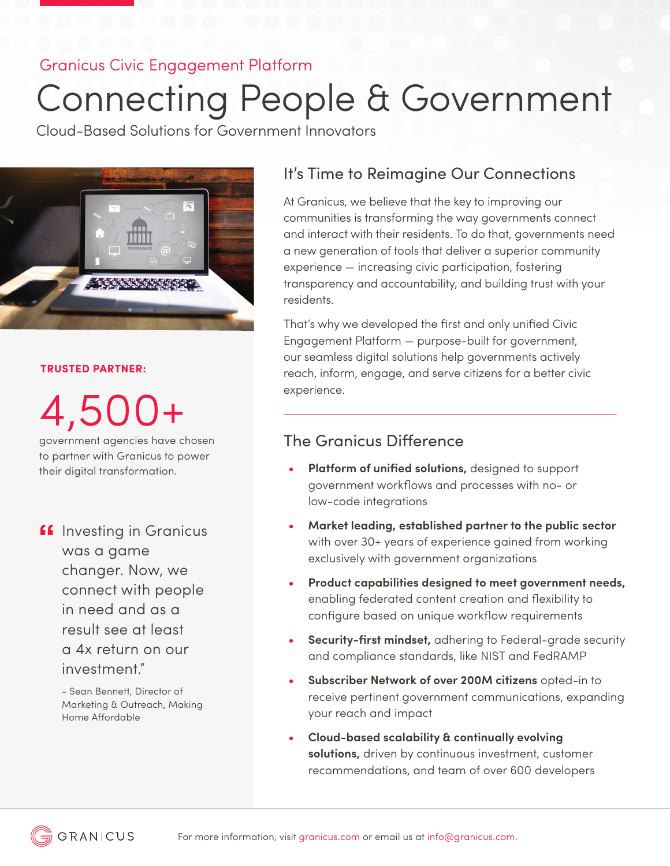#### Granicus Civic Engagement Platform

## Connecting People & Government

Cloud-Based Solutions for Government Innovators



#### **TRUSTED PARTNER:**

# 4,500+

government agencies have chosen to partner with Granicus to power their digital transformation.

**ff** Investing in Granicus was a game changer. Now, we connect with people in need and as a result see at least a 4x return on our investment."

> - Sean Bennett, Director of Marketing & Outreach, Making Home Affordable

#### It's Time to Reimagine Our Connections

At Granicus, we believe that the key to improving our communities is transforming the way governments connect and interact with their residents. To do that, governments need a new generation of tools that deliver a superior community experience — increasing civic participation, fostering transparency and accountability, and building trust with your residents.

That's why we developed the first and only unified Civic Engagement Platform — purpose-built for government, our seamless digital solutions help governments actively reach, inform, engage, and serve citizens for a better civic experience.

#### The Granicus Difference

- **• Platform of unified solutions,** designed to support government workflows and processes with no- or low-code integrations
- **• Market leading, established partner to the public sector** with over 30+ years of experience gained from working exclusively with government organizations
- **• Product capabilities designed to meet government needs,**  enabling federated content creation and flexibility to configure based on unique workflow requirements
- **• Security-first mindset,** adhering to Federal-grade security and compliance standards, like NIST and FedRAMP
- **• Subscriber Network of over 200M citizens** opted-in to receive pertinent government communications, expanding your reach and impact
- **• Cloud-based scalability & continually evolving solutions,** driven by continuous investment, customer recommendations, and team of over 600 developers